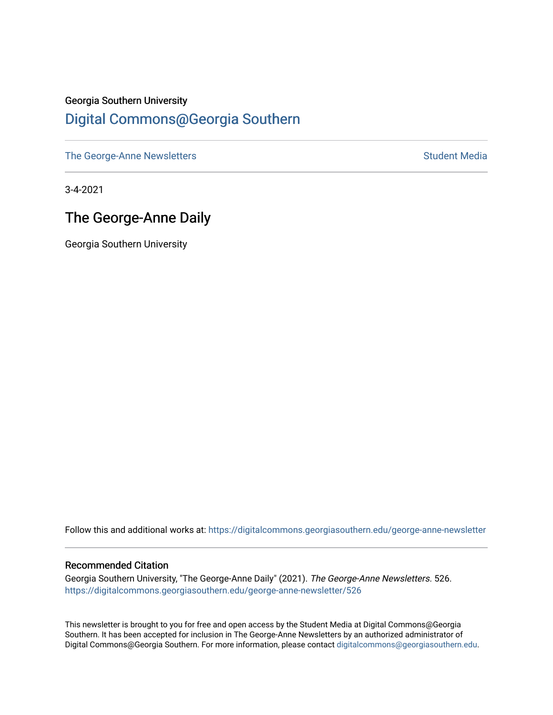## Georgia Southern University [Digital Commons@Georgia Southern](https://digitalcommons.georgiasouthern.edu/)

[The George-Anne Newsletters](https://digitalcommons.georgiasouthern.edu/george-anne-newsletter) **Student Media** Student Media

3-4-2021

# The George-Anne Daily

Georgia Southern University

Follow this and additional works at: [https://digitalcommons.georgiasouthern.edu/george-anne-newsletter](https://digitalcommons.georgiasouthern.edu/george-anne-newsletter?utm_source=digitalcommons.georgiasouthern.edu%2Fgeorge-anne-newsletter%2F526&utm_medium=PDF&utm_campaign=PDFCoverPages)

#### Recommended Citation

Georgia Southern University, "The George-Anne Daily" (2021). The George-Anne Newsletters. 526. [https://digitalcommons.georgiasouthern.edu/george-anne-newsletter/526](https://digitalcommons.georgiasouthern.edu/george-anne-newsletter/526?utm_source=digitalcommons.georgiasouthern.edu%2Fgeorge-anne-newsletter%2F526&utm_medium=PDF&utm_campaign=PDFCoverPages) 

This newsletter is brought to you for free and open access by the Student Media at Digital Commons@Georgia Southern. It has been accepted for inclusion in The George-Anne Newsletters by an authorized administrator of Digital Commons@Georgia Southern. For more information, please contact [digitalcommons@georgiasouthern.edu.](mailto:digitalcommons@georgiasouthern.edu)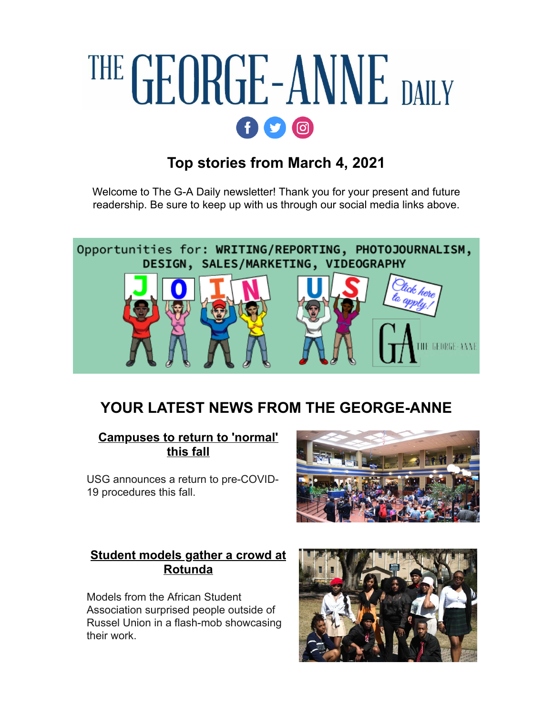# THE GEORGE-ANNE DAILY  $f$  $q$  $q$  $q$

# **Top stories from March 4, 2021**

Welcome to The G-A Daily newsletter! Thank you for your present and future readership. Be sure to keep up with us through our social media links above.



# **YOUR LATEST NEWS FROM THE GEORGE-ANNE**

#### **[Campuses to return to 'normal'](http://r20.rs6.net/tn.jsp?f=001qkqVTqbFgds4W9dDsA78M8gOv6DPMdfXIvcMCpe0xdx2RGwZPQn0pjX32cc_AfkVDgVgXD8-FIAWCFC0ij5mAoisWfXuQAm-ypy7BaTa3OjZYO4gczKcbXoxTHn3Hiya4jMSxWuUr_uYCDcWVWRA70AUyydB3xLpyjPBVz3Ze9OLR7osCweFmKIEXoatNDn0yJmaQxeXpXLK7E0qVOg1d4-1PkWRQlg9&c=IFzBlpqjdmBfbXKHi6jTW74icFpu6OgpvuZP08iINXGCl6gy7FqVxA==&ch=ctkRMFdzjINGN6nerqNVVVFQ7q9s-yGMOYCnnkOK59Lpx8LU4Nm2rQ==) this fall**

USG announces a return to pre-COVID-19 procedures this fall.



#### **[Student models gather a crowd at](http://r20.rs6.net/tn.jsp?f=001qkqVTqbFgds4W9dDsA78M8gOv6DPMdfXIvcMCpe0xdx2RGwZPQn0pjX32cc_AfkV_KaTVHxEH8Lh6-x5Rq4FaNrN6tDbypPdw8MaSaQ-tLh6Y5r9ZIOXAVamj_AkJNgZE6gUrjnltgSY1mHymNGVkrv1phza1ai6OuhUwwfeEaE-qCQu8ezGp7thnU8uS6eyolukcjdfdsJhfBzx-g4U2Rv9q56fUCjs&c=IFzBlpqjdmBfbXKHi6jTW74icFpu6OgpvuZP08iINXGCl6gy7FqVxA==&ch=ctkRMFdzjINGN6nerqNVVVFQ7q9s-yGMOYCnnkOK59Lpx8LU4Nm2rQ==) Rotunda**

Models from the African Student Association surprised people outside of Russel Union in a flash-mob showcasing their work.

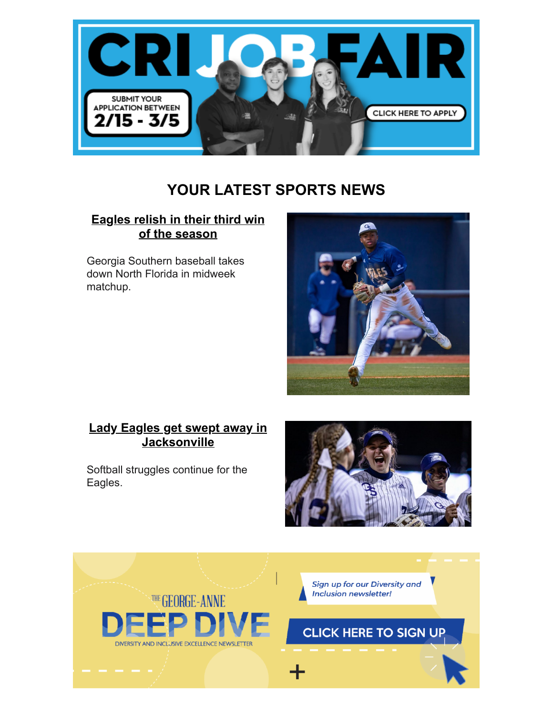

# **YOUR LATEST SPORTS NEWS**

#### **[Eagles relish in their third win](http://r20.rs6.net/tn.jsp?f=001qkqVTqbFgds4W9dDsA78M8gOv6DPMdfXIvcMCpe0xdx2RGwZPQn0pjX32cc_AfkVHCTT7_-8280pi09A9NeOBXvyOINeupYgL6_1_FXqR3F-4beT-ttAoEtlGyDrZkTibDvtc95Fls0huojapUSheBGMXlzJpILnYSlccM2GyQFK2SnSTExp6LU2aSxw-jKadUED_t759ZwsLxhKNxGBEWJl3MRvix5wcXT01jrsjxdwL-FvF0_LXQ==&c=IFzBlpqjdmBfbXKHi6jTW74icFpu6OgpvuZP08iINXGCl6gy7FqVxA==&ch=ctkRMFdzjINGN6nerqNVVVFQ7q9s-yGMOYCnnkOK59Lpx8LU4Nm2rQ==) of the season**

Georgia Southern baseball takes down North Florida in midweek matchup.



#### **[Lady Eagles get swept away in](http://r20.rs6.net/tn.jsp?f=001qkqVTqbFgds4W9dDsA78M8gOv6DPMdfXIvcMCpe0xdx2RGwZPQn0pjX32cc_AfkVOUyeWFIyGX3Tz1uHVzqPC7lKda9WHzo962lXYBmWeqnc3ReNuskOD7yeAz-VTm2K32VW_EqLYvZecYgtAPff29Jjh5vKDuUnsiDQWWGUj5WD_yApZAVSGRItM-0JHSFdzeO8W03tsB0vdrZjuYsjQP1dMIMJWRxSqEmwKoXOekk=&c=IFzBlpqjdmBfbXKHi6jTW74icFpu6OgpvuZP08iINXGCl6gy7FqVxA==&ch=ctkRMFdzjINGN6nerqNVVVFQ7q9s-yGMOYCnnkOK59Lpx8LU4Nm2rQ==) Jacksonville**

Softball struggles continue for the Eagles.



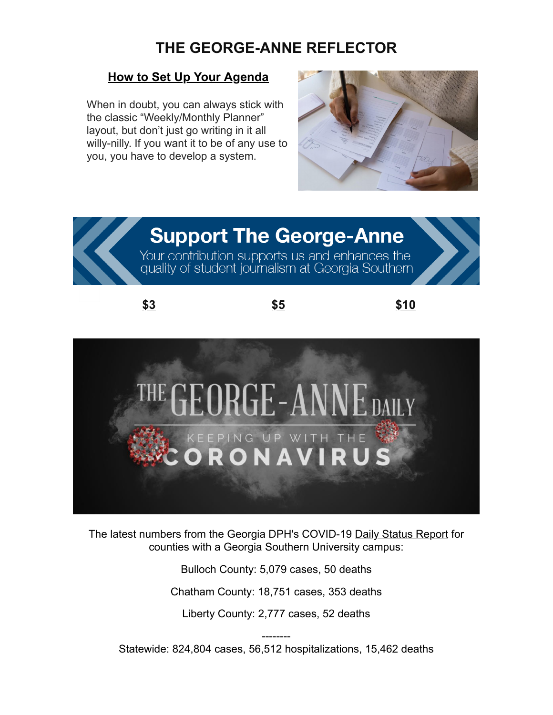# **THE GEORGE-ANNE REFLECTOR**

#### **[How to Set Up Your Agenda](http://r20.rs6.net/tn.jsp?f=001qkqVTqbFgds4W9dDsA78M8gOv6DPMdfXIvcMCpe0xdx2RGwZPQn0pjX32cc_AfkV32KdANz-46OjifnmzMc_08x01f8tTbC0uoMFuS0S1950V9172O4QIuBIhqSnJueNGO_BGQxjjlDOm45wy2zUprqm6eCZnUBpA1pVTvS8oGFoZY2Jlb6cfXMPmFheZv8kb_0_xrS-rGygrsnYZIrYHQ==&c=IFzBlpqjdmBfbXKHi6jTW74icFpu6OgpvuZP08iINXGCl6gy7FqVxA==&ch=ctkRMFdzjINGN6nerqNVVVFQ7q9s-yGMOYCnnkOK59Lpx8LU4Nm2rQ==)**

When in doubt, you can always stick with the classic "Weekly/Monthly Planner" layout, but don't just go writing in it all willy-nilly. If you want it to be of any use to you, you have to develop a system.



# **Support The George-Anne**

Your contribution supports us and enhances the<br>quality of student journalism at Georgia Southern

**[\\$3](http://r20.rs6.net/tn.jsp?f=001qkqVTqbFgds4W9dDsA78M8gOv6DPMdfXIvcMCpe0xdx2RGwZPQn0pod_a3WINADoxXG8e3pzA8kOM78OaE2aYk9QkodU05gFgfZ7uR6yo5Lnxgnyx78i7N6xAuw9mBsRnv4jgq9hF9VVrnULoZt_47Ldh5HbQqegOhY2hFNxk0XOGsGbkt-1E-U1CNOmkdO0qyFIJLFe13SXqcgdTDiH22_Kam6aoMa_VNsbsZfQfgtQM0qYdbPUXDaZgUbkdBydGqgP-tn4GWxdxABRL6hsUxgf_9kDNsJW-qG7QiBr3tsnqkxvXuCP6kGi4SI-EZVsQ7JFYGUN4XmtOxUaZirFaAB4Yvo_ZeD-gcGlEp22orjIAZnjNfZkajph_ZBJY1T_fdERBEy-Un_6UF7E-_33877gvQQWRsB0-87wuHxJUGhMZ7nPqy3x0Ic2oiTmArVdlGHrWS72-ivUyNaWMc-MAbEuCOz5aAi2MX5t7V8KefA8hzoXteYoiOprKGzcUvialZ0uCzzZ3uQyJRwBNx1M1-b7OUqjhbTN1CEmW7NNWtIcHpvpXkmmDbENWcblh9TNFFUuHoyaeagfZlcIEEkzp39NGINN-QNpw3Ri0NCOyPKjzbBGRACNNLOMQ7rw5ZEakvnGdl9iKftuDgu562-YPw==&c=IFzBlpqjdmBfbXKHi6jTW74icFpu6OgpvuZP08iINXGCl6gy7FqVxA==&ch=ctkRMFdzjINGN6nerqNVVVFQ7q9s-yGMOYCnnkOK59Lpx8LU4Nm2rQ==) [\\$5](http://r20.rs6.net/tn.jsp?f=001qkqVTqbFgds4W9dDsA78M8gOv6DPMdfXIvcMCpe0xdx2RGwZPQn0pod_a3WINADo9xQ6cRw4DZl9sKwWKUe2LgVwZvL7fP68XGE1arYl9C4D1FP0wF2_AHlLYPtl0tPBQ6UrxHEj9Dof_Sh5RLocP-AKfgo_DVmMmUjVzSG5yQ3wEo2mRQlhfDU4dmU40ervBeuOLSGXSzzMsNBplUB-aBQbVwLX6O86bJzXqxptAGqa0Ig6Yd2LZBcQ0DTF0thPiG1PiMurJJjAOgilY8RnKTB3ADTJ9ZOIT-zos5jHpOpSqYsOcI_wZViaW_jKbH_aspFdtfQr5trXzBHJbdZ4A9s7-OCk5iiXc0NdUsS-0FM9jpaJvD-UJEGXRCfgJiS-CVy3n6e-l58QZoPMEzNY3bR8Ht79AY2gScZHLjz0H3xSgNNCaVmtAHtkAmNRDUsms31TYFjFRwGyCGR8Ctw2Km86COg8Fm0sx2mAKK3ycTAAPioIXaQKo59EENvFbA38UnCrTLgiVVPX-9htUx1H-0NgGOzY1fepzJ9CpodTumVBfO6Q4YstoyN3W3JJBaMukXBTV-ZX5L3uPK_xO3R1T1tG7wVxS3NwgNSz_BDd8O8FPREJC4JV4AdkpYeRouLYt7vMAFdTtoiEK3fTAthWcw==&c=IFzBlpqjdmBfbXKHi6jTW74icFpu6OgpvuZP08iINXGCl6gy7FqVxA==&ch=ctkRMFdzjINGN6nerqNVVVFQ7q9s-yGMOYCnnkOK59Lpx8LU4Nm2rQ==) [\\$10](http://r20.rs6.net/tn.jsp?f=001qkqVTqbFgds4W9dDsA78M8gOv6DPMdfXIvcMCpe0xdx2RGwZPQn0pod_a3WINADoMDJlrumrSiioBDQxcL6xtnNLw495u5Qxhvyr6EzLj9vM8H-aC5ewVB8PfaSbx6qogOMTnFY18Ld_ubVIERE1N-8ejQ9BKiRBzXGwOJoB23i6BxpR7hax2zmLMHoRQ8bO3aGJVEq8y1RsxSUmYcBjYZIBl-6X0jt76ftToCFQ6j_ZITyME0d_k0amLu24l9OfBH1iJ4sPoeGFGRPayPBwWDFK4tQuMLuYZ99mTW3lkdXJwZk_BIiZqUNk4Jvmaei86QtKjFLdj6GaasuEMUKLcKEX8ByQV_NVBdTkIeyqrb87nGd-SqCzJ6iSgGDZshb1utswPrusgMymdxHnFm9hcbO4l8MIH199pzXNcE6s037If2aIf6YR79ZvaCp68RTzC6D44HV9W5r_HlR4w40W0fxAGFwDkFZdrvYZ7vkMYnNT37PlWV4Rzma5T-H8lTIt3NZ6Y1r27vNTgulHW-5SqZIhTOkTbsiuF1wSbk8E-wJvcizi6DKwA7TxfX0JabtDSsFtEJwUvFrVOB419HrU8IXTsraBHi0siD-yFNMej_2qQIV5Bx6YGnR1FC4YRZoxUERJk76p9fbhzX-wkVF4HIy6ry9i7hF-&c=IFzBlpqjdmBfbXKHi6jTW74icFpu6OgpvuZP08iINXGCl6gy7FqVxA==&ch=ctkRMFdzjINGN6nerqNVVVFQ7q9s-yGMOYCnnkOK59Lpx8LU4Nm2rQ==)**



The latest numbers from the Georgia DPH's COVID-19 [Daily Status Report](http://r20.rs6.net/tn.jsp?f=0012sNoNM0_JpMzQfoUHDGCsuBr1zpa4p_R1Q83llYAtOg12oKG44UVigIdkVwh9XZULewO84T90s-90Ght9tHU2iBDznlE4zIi9HXlj2QqNFDIXpH6gqRIXCBhzcIN7IOA_2LHoAda1YIl83A3BEmbZM30JqpUAa3zjzPq5qtoBwtyuPjCfk6p_g==&c=bghBDmezEFdMtquZWcYeqi5zY43L63_cOY6sdrReNnXX4VMV0rKB-g==&ch=7_U6Y49Oa9xKMO5tbaLs5V4DS-ld5Uvd4Tk7ilgr3bEtj4L7ZlE4RQ==) for counties with a Georgia Southern University campus:

> Bulloch County: 5,079 cases, 50 deaths Chatham County: 18,751 cases, 353 deaths

Liberty County: 2,777 cases, 52 deaths

-------- Statewide: 824,804 cases, 56,512 hospitalizations, 15,462 deaths